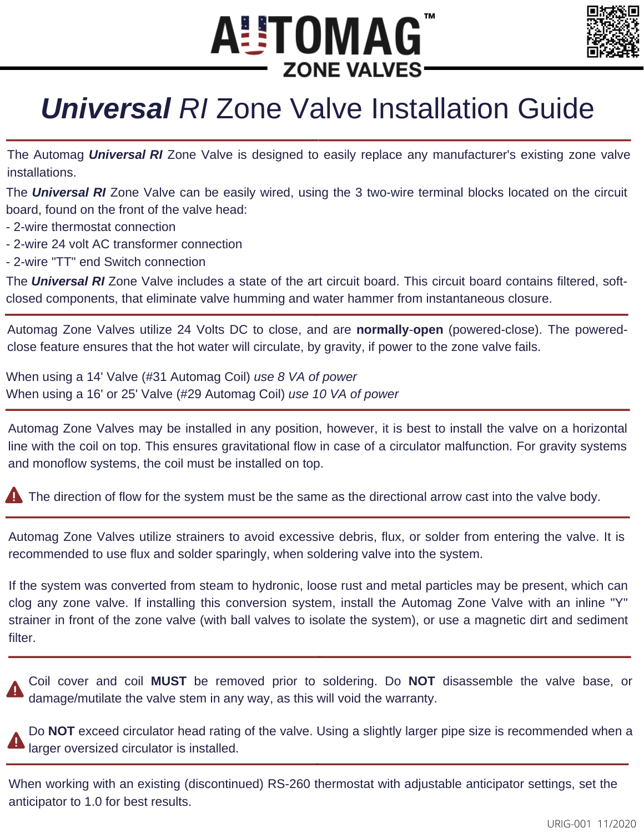



## *Universal RI* Zone Valve Installation Guide

The Automag *Universal RI* Zone Valve is designed to easily replace any manufacturer's existing zone valve installations.

The *Universal RI* Zone Valve can be easily wired, using the 3 two-wire terminal blocks located on the circuit board, found on the front of the valve head:

- 2-wire thermostat connection
- 2-wire 24 volt AC transformer connection
- 2-wire "TT" end Switch connection

The *Universal RI* Zone Valve includes a state of the art circuit board. This circuit board contains filtered, softclosed components, that eliminate valve humming and water hammer from instantaneous closure.

Automag Zone Valves utilize 24 Volts DC to close, and are **normally**-**open** (powered-close). The poweredclose feature ensures that the hot water will circulate, by gravity, if power to the zone valve fails.

When using a 14' Valve (#31 Automag Coil) *use 8 VA of power* When using a 16' or 25' Valve (#29 Automag Coil) *use 10 VA of power*

Automag Zone Valves may be installed in any position, however, it is best to install the valve on a horizontal line with the coil on top. This ensures gravitational flow in case of a circulator malfunction. For gravity systems and monoflow systems, the coil must be installed on top.

The direction of flow for the system must be the same as the directional arrow cast into the valve body.

Automag Zone Valves utilize strainers to avoid excessive debris, flux, or solder from entering the valve. It is recommended to use flux and solder sparingly, when soldering valve into the system.

If the system was converted from steam to hydronic, loose rust and metal particles may be present, which can clog any zone valve. If installing this conversion system, install the Automag Zone Valve with an inline "Y" strainer in front of the zone valve (with ball valves to isolate the system), or use a magnetic dirt and sediment filter.



Do **NOT** exceed circulator head rating of the valve. Using a slightly larger pipe size is recommended when a **A** larger oversized circulator is installed.

When working with an existing (discontinued) RS-260 thermostat with adjustable anticipator settings, set the anticipator to 1.0 for best results.